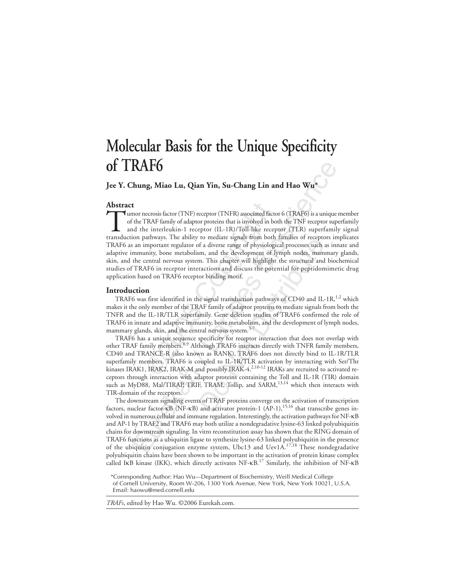# **Molecular Basis for the Unique Specificity of TRAF6**

**Jee Y. Chung, Miao Lu, Qian Yin, Su-Chang Lin and Hao Wu\***

## **Abstract**

ecrosis factor (TNF) receptor (TNFR) associated fa<br>
TRAF family of adaptor proteins that is involved in<br>
ie interleukin-1 receptor (IL-1R)/Toll-like rec<br>
aathways. The ability to mediate signals from bo<br>
mportant regulator **RAF6**<br>
thung, Miao Lu, Qian Yin, Su-Chang Lin and Hao Wu\*<br>
the more metosis factor (TNF) receptor (TNFR) associated factor 6 (TRAF6) is a unique<br>
the TRAF family of adaptor proteins that is involved in both the TNF recep Tumor necrosis factor (TNF) receptor (TNFR) associated factor 6 (TRAF6) is a unique member<br>of the TRAF family of adaptor proteins that is involved in both the TNF receptor superfamily<br>and the interleukin-1 receptor (IL-1R) of the TRAF family of adaptor proteins that is involved in both the TNF receptor superfamily and the interleukin-1 receptor (IL-1R)/Toll-like receptor (TLR) superfamily signal transduction pathways. The ability to mediate signals from both families of receptors implicates TRAF6 as an important regulator of a diverse range of physiological processes such as innate and adaptive immunity, bone metabolism, and the development of lymph nodes, mammary glands, skin, and the central nervous system. This chapter will highlight the structural and biochemical studies of TRAF6 in receptor interactions and discuss the potential for peptidomimetic drug application based on TRAF6 receptor binding motif.

## **Introduction**

TRAF6 was first identified in the signal transduction pathways of CD40 and IL-1R,<sup>1,2</sup> which makes it the only member of the TRAF family of adaptor proteins to mediate signals from both the TNFR and the IL-1R/TLR superfamily. Gene deletion studies of TRAF6 confirmed the role of TRAF6 in innate and adaptive immunity, bone metabolism, and the development of lymph nodes, mammary glands, skin, and the central nervous system.<sup>3-7</sup>

to include signals noin both tantines or iccepte<br>f a diverse range of physiological processes such a<br>m, and the development of lymph nodes, mam<br>m. This chapter will highlight the structural and<br>ractions and discuss the pot TRAF6 has a unique sequence specificity for receptor interaction that does not overlap with other TRAF family members.<sup>8,9</sup> Although TRAF6 interacts directly with TNFR family members, CD40 and TRANCE-R (also known as RANK), TRAF6 does not directly bind to IL-1R/TLR superfamily members. TRAF6 is coupled to IL-1R/TLR activation by interacting with Ser/Thr kinases IRAK1, IRAK2, IRAK-M and possibly IRAK-4.<sup>2,10-12</sup> IRAKs are recruited to activated receptors through interaction with adaptor proteins containing the Toll and IL-1R (TIR) domain such as MyD88, Mal/TIRAP, TRIF, TRAM, Tollip, and SARM,<sup>13,14</sup> which then interacts with TIR-domain of the receptors.

The downstream signaling events of TRAF proteins converge on the activation of transcription factors, nuclear factor-κB (NF-κB) and activator protein-1 (AP-1),15,16 that transcribe genes involved in numerous cellular and immune regulation. Interestingly, the activation pathways for NF-κB and AP-1 by TRAF2 and TRAF6 may both utilize a nondegradative lysine-63 linked polyubiquitin chains for downstream signaling. In vitro reconstitution assay has shown that the RING domain of TRAF6 functions as a ubiquitin ligase to synthesize lysine-63 linked polyubiquitin in the presence of the ubiquitin conjugation enzyme system, Ubc13 and Uev1A.17,18 These nondegradative polyubiquitin chains have been shown to be important in the activation of protein kinase complex called IKB kinase (IKK), which directly activates  $NF-κB<sup>17</sup>$  Similarly, the inhibition of NF- $κB$ 

*TRAFs*, edited by Hao Wu. ©2006 Eurekah.com.

<sup>\*</sup>Corresponding Author: Hao Wu—Department of Biochemistry, Weill Medical College of Cornell University, Room W-206, 1300 York Avenue, New York, New York 10021, U.S.A.

Email: haowu@med.cornell.edu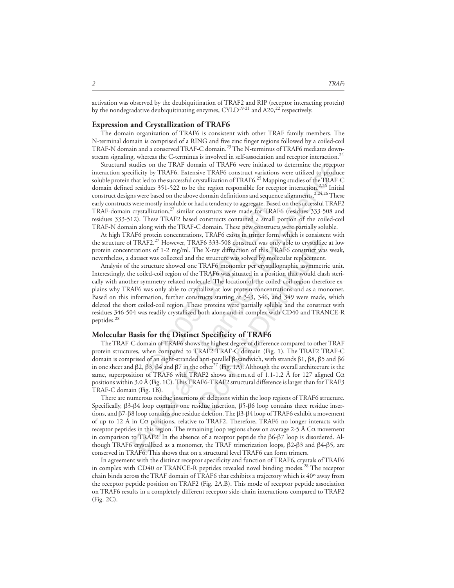## **Expression and Crystallization of TRAF6**

The domain organization of TRAF6 is consistent with other TRAF family members. The N-terminal domain is comprised of a RING and five zinc finger regions followed by a coiled-coil TRAF-N domain and a conserved TRAF-C domain.<sup>23</sup> The N-terminus of TRAF6 mediates downstream signaling, whereas the C-terminus is involved in self-association and receptor interaction.<sup>24</sup>

udies on the TRAF domain of TRAF6 were initiated to determine the reception<br>ificiny by TRAF6. Extensive TRAF6 construct variations were utilized to product<br>that led to the successful crystallization of TRAF6.<sup>25</sup> Mapping Structural studies on the TRAF domain of TRAF6 were initiated to determine the receptor interaction specificity by TRAF6. Extensive TRAF6 construct variations were utilized to produce soluble protein that led to the successful crystallization of  $TRAF6<sup>25</sup>$  Mapping studies of the TRAF-C domain defined residues  $351-522$  to be the region responsible for receptor interaction.<sup>2,26</sup> Initial construct designs were based on the above domain definitions and sequence alignments.<sup>2,24,26</sup> These early constructs were mostly insoluble or had a tendency to aggregate. Based on the successful TRAF2 TRAF-domain crystallization, $27$  similar constructs were made for TRAF6 (residues 333-508 and residues 333-512). These TRAF2 based constructs contained a small portion of the coiled-coil TRAF-N domain along with the TRAF-C domain. These new constructs were partially soluble.

At high TRAF6 protein concentrations, TRAF6 exists in trimer form, which is consistent with the structure of TRAF2.<sup>27</sup> However, TRAF6 333-508 construct was only able to crystallize at low protein concentrations of 1-2 mg/ml. The X-ray diffraction of this TRAF6 construct was weak, nevertheless, a dataset was collected and the structure was solved by molecular replacement.

mostly insoluble or had a tendency to aggregate. Ballization,<sup>27</sup> similar constructs were made for TF<br>These TRAF2 based constructs contained a smaling with the TRAF-C domain. These new construct<br>protein concentrations, TRA AF6 333-508 construct was only able to crystallizate X-ray diffraction of this TRAF6 construct was he structure was solved by molecular replacement TRAF6 monomer per crystallographic asymmetr TRAF6 was situated in a posit Analysis of the structure showed one TRAF6 monomer per crystallographic asymmetric unit. Interestingly, the coiled-coil region of the TRAF6 was situated in a position that would clash sterically with another symmetry related molecule. The location of the coiled-coil region therefore explains why TRAF6 was only able to crystallize at low protein concentrations and as a monomer. Based on this information, further constructs starting at 343, 346, and 349 were made, which deleted the short coiled-coil region. These proteins were partially soluble and the construct with residues 346-504 was readily crystallized both alone and in complex with CD40 and TRANCE-R peptides.<sup>28</sup>

## **Molecular Basis for the Distinct Specificity of TRAF6**

The TRAF-C domain of TRAF6 shows the highest degree of difference compared to other TRAF protein structures, when compared to TRAF2 TRAF-C domain (Fig. 1). The TRAF2 TRAF-C domain is comprised of an eight-stranded anti-parallel β-sandwich, with strands β1, β8, β5 and β6 in one sheet and β2, β3, β4 and β7 in the other<sup>27</sup> (Fig. 1A). Although the overall architecture is the same, superposition of TRAF6 with TRAF2 shows an r.m.s.d of 1.1-1.2 Å for 127 aligned Cα positions within 3.0 Å (Fig. 1C). This TRAF6-TRAF2 structural difference is larger than for TRAF3 TRAF-C domain (Fig. 1B).

There are numerous residue insertions or deletions within the loop regions of TRAF6 structure. Specifically, β3-β4 loop contains one residue insertion, β5-β6 loop contains three residue insertions, and β7-β8 loop contains one residue deletion. The β3-β4 loop of TRAF6 exhibit a movement of up to 12 Å in  $C\alpha$  positions, relative to TRAF2. Therefore, TRAF6 no longer interacts with receptor peptides in this region. The remaining loop regions show on average 2-5 Å  $Ca$  movement in comparison to TRAF2. In the absence of a receptor peptide the  $β6-β7$  loop is disordered. Although TRAF6 crystallized as a monomer, the TRAF trimerization loops, β2-β3 and β4-β5, are conserved in TRAF6. This shows that on a structural level TRAF6 can form trimers.

In agreement with the distinct receptor specificity and function of TRAF6, crystals of TRAF6 in complex with CD40 or TRANCE-R peptides revealed novel binding modes.<sup>28</sup> The receptor chain binds across the TRAF domain of TRAF6 that exhibits a trajectory which is 40º away from the receptor peptide position on TRAF2 (Fig. 2A,B). This mode of receptor peptide association on TRAF6 results in a completely different receptor side-chain interactions compared to TRAF2 (Fig. 2C).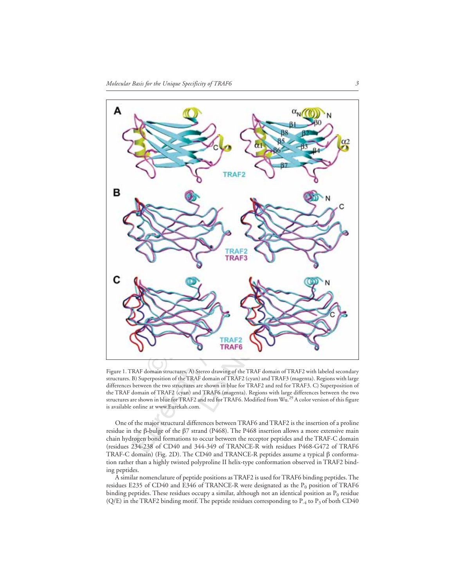

Figure 1. TRAF domain structures. A) Stereo drawing of the TRAF domain of TRAF2 with labeled secondary structures. B) Superposition of the TRAF domain of TRAF2 (cyan) and TRAF3 (magenta). Regions with large differences between the two structures are shown in blue for TRAF2 and red for TRAF3. C) Superposition of the TRAF domain of TRAF2 (cyan) and TRAF6 (magenta). Regions with large differences between the two<br>structures are shown in blue for TRAF2 and red for TRAF6. Modified from Wu.<sup>29</sup> A color version of this figure is available online at www.Eurekah.com.

One of the major structural differences between TRAF6 and TRAF2 is the insertion of a proline residue in the β-bulge of the  $β7$  strand (P468). The P468 insertion allows a more extensive main chain hydrogen bond formations to occur between the receptor peptides and the TRAF-C domain (residues 234-238 of CD40 and 344-349 of TRANCE-R with residues P468-G472 of TRAF6 TRAF-C domain) (Fig. 2D). The CD40 and TRANCE-R peptides assume a typical β conformation rather than a highly twisted polyproline II helix-type conformation observed in TRAF2 binding peptides.

A similar nomenclature of peptide positions as TRAF2 is used for TRAF6 binding peptides. The residues E235 of CD40 and E346 of TRANCE-R were designated as the  $P_0$  position of TRAF6 binding peptides. These residues occupy a similar, although not an identical position as  $P_0$  residue (Q/E) in the TRAF2 binding motif. The peptide residues corresponding to  $P_4$  to  $P_3$  of both CD40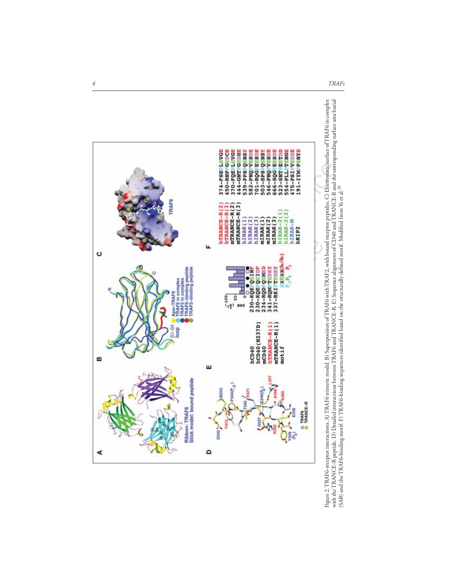



*4 TRAFs*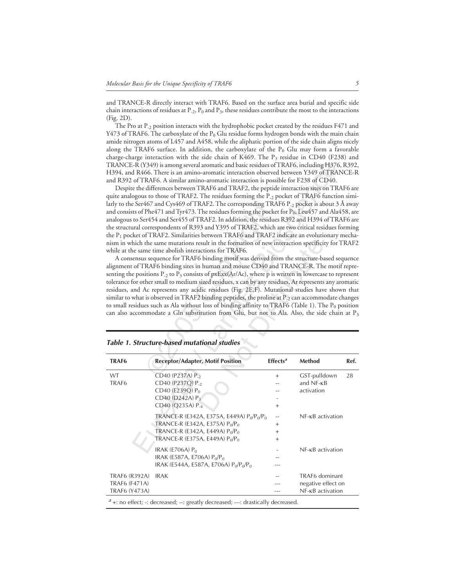and TRANCE-R directly interact with TRAF6. Based on the surface area burial and specific side chain interactions of residues at  $P_{-2}$ ,  $P_0$  and  $P_3$ , these residues contribute the most to the interactions (Fig. 2D).

The Pro at P<sub>-2</sub> position interacts with the hydrophobic pocket created by the residues F471 and Y473 of TRAF6. The carboxylate of the  $P_0$  Glu residue forms hydrogen bonds with the main chain amide nitrogen atoms of L457 and A458, while the aliphatic portion of the side chain aligns nicely along the TRAF6 surface. In addition, the carboxylate of the  $P_0$  Glu may form a favorable charge-charge interaction with the side chain of K469. The  $P_3$  residue in CD40 (F238) and TRANCE-R (Y349) is among several aromatic and basic residues of TRAF6, including H376, R392, H394, and R466. There is an amino-aromatic interaction observed between Y349 of TRANCE-R and R392 of TRAF6. A similar amino-aromatic interaction is possible for F238 of CD40.

|                                                               | TRANCE-R (Y349) is among several aromatic and basic residues of TRAF6, including H376, R392<br>H394, and R466. There is an amino-aromatic interaction observed between Y349 of TRANCE-F<br>and R392 of TRAF6. A similar amino-aromatic interaction is possible for F238 of CD40.<br>Despite the differences between TRAF6 and TRAF2, the peptide interaction sites on TRAF6 are<br>quite analogous to those of TRAF2. The residues forming the P <sub>-2</sub> pocket of TRAF6 function simi<br>larly to the Ser467 and Cys469 of TRAF2. The corresponding TRAF6 P <sub>-2</sub> pocket is about 3 Å away<br>and consists of Phe471 and Tyr473. The residues forming the pocket for $P_0$ , Leu457 and Ala458, and<br>analogous to Ser454 and Ser455 of TRAF2. In addition, the residues R392 and H394 of TRAF6 are<br>the structural correspondents of R393 and Y395 of TRAF2, which are two critical residues forming<br>the $P_1$ pocket of TRAF2. Similarities between TRAF6 and TRAF2 indicate an evolutionary mecha<br>nism in which the same mutations result in the formation of new interaction specificity for TRAF.<br>while at the same time abolish interactions for TRAF6.<br>A consensus sequence for TRAF6 binding motif was derived from the structure-based sequenc<br>alignment of TRAF6 binding sites in human and mouse CD40 and TRANCE-R. The motif repre<br>senting the positions $P_{2}$ to $P_{3}$ consists of pxExx(Ar/Ac), where p is written in lowercase to represen<br>tolerance for other small to medium sized residues, x can by any residues, Ar represents any aromation<br>residues, and Ac represents any acidic residues (Fig. 2E,F). Mutational studies have shown tha<br>similar to what is observed in TRAF2 binding peptides, the proline at P <sub>-2</sub> can accommodate change<br>to small residues such as Ala without loss of binding affinity to TRAF6 (Table 1). The $P_0$ position<br>can also accommodate a Gln substitution from Glu, but not to Ala. Also, the side chain at P<br><b>Table 1. Structure-based mutational studies</b> |                                   |                                                                      |      |
|---------------------------------------------------------------|---------------------------------------------------------------------------------------------------------------------------------------------------------------------------------------------------------------------------------------------------------------------------------------------------------------------------------------------------------------------------------------------------------------------------------------------------------------------------------------------------------------------------------------------------------------------------------------------------------------------------------------------------------------------------------------------------------------------------------------------------------------------------------------------------------------------------------------------------------------------------------------------------------------------------------------------------------------------------------------------------------------------------------------------------------------------------------------------------------------------------------------------------------------------------------------------------------------------------------------------------------------------------------------------------------------------------------------------------------------------------------------------------------------------------------------------------------------------------------------------------------------------------------------------------------------------------------------------------------------------------------------------------------------------------------------------------------------------------------------------------------------------------------------------------------------------------------------------------------------------------------------------------------------------------------------------------------------------------------------------------------------------------------------------------------------------------------------------|-----------------------------------|----------------------------------------------------------------------|------|
| TRAF6                                                         | <b>Receptor/Adapter, Motif Position</b>                                                                                                                                                                                                                                                                                                                                                                                                                                                                                                                                                                                                                                                                                                                                                                                                                                                                                                                                                                                                                                                                                                                                                                                                                                                                                                                                                                                                                                                                                                                                                                                                                                                                                                                                                                                                                                                                                                                                                                                                                                                     | Effects <sup>a</sup>              | Method                                                               | Ref. |
| WT<br>TRAF <sub>6</sub>                                       | CD40 (P237A) P <sub>-2</sub><br>CD40 (P237Q) P <sub>-2</sub><br>CD40 (E239Q) P <sub>0</sub><br>CD40 (D242A) P <sub>3</sub><br>CD40 (Q235A) P <sub>-4</sub>                                                                                                                                                                                                                                                                                                                                                                                                                                                                                                                                                                                                                                                                                                                                                                                                                                                                                                                                                                                                                                                                                                                                                                                                                                                                                                                                                                                                                                                                                                                                                                                                                                                                                                                                                                                                                                                                                                                                  | $^{+}$<br>$^{+}$                  | GST-pulldown<br>and $NF$ - $\kappa B$<br>activation                  | 28   |
|                                                               | TRANCE-R (E342A, E375A, E449A) P <sub>0</sub> /P <sub>0</sub> /P <sub>0</sub><br>TRANCE-R (E342A, E375A) $P_0/P_0$<br>TRANCE-R (E342A, E449A) $P_0/P_0$<br>TRANCE-R (E375A, E449A) $P_0/P_0$                                                                                                                                                                                                                                                                                                                                                                                                                                                                                                                                                                                                                                                                                                                                                                                                                                                                                                                                                                                                                                                                                                                                                                                                                                                                                                                                                                                                                                                                                                                                                                                                                                                                                                                                                                                                                                                                                                | --<br>$^{+}$<br>$\ddot{}$<br>$^+$ | NF-KB activation                                                     |      |
|                                                               | IRAK (E706A) $P_0$<br>IRAK (E587A, E706A) $P_0/P_0$<br>IRAK (E544A, E587A, E706A) $P_0/P_0$                                                                                                                                                                                                                                                                                                                                                                                                                                                                                                                                                                                                                                                                                                                                                                                                                                                                                                                                                                                                                                                                                                                                                                                                                                                                                                                                                                                                                                                                                                                                                                                                                                                                                                                                                                                                                                                                                                                                                                                                 |                                   | NF- <sub>KB</sub> activation                                         |      |
| <b>TRAF6 (R392A)</b><br>TRAF6 (F471A)<br><b>TRAF6 (Y473A)</b> | <b>IRAK</b>                                                                                                                                                                                                                                                                                                                                                                                                                                                                                                                                                                                                                                                                                                                                                                                                                                                                                                                                                                                                                                                                                                                                                                                                                                                                                                                                                                                                                                                                                                                                                                                                                                                                                                                                                                                                                                                                                                                                                                                                                                                                                 |                                   | TRAF6 dominant<br>negative effect on<br>NF- <sub>KB</sub> activation |      |
|                                                               | $a$ +: no effect; -: decreased; --: greatly decreased; ---: drastically decreased.                                                                                                                                                                                                                                                                                                                                                                                                                                                                                                                                                                                                                                                                                                                                                                                                                                                                                                                                                                                                                                                                                                                                                                                                                                                                                                                                                                                                                                                                                                                                                                                                                                                                                                                                                                                                                                                                                                                                                                                                          |                                   |                                                                      |      |

**Table 1. Structure-based mutational studies**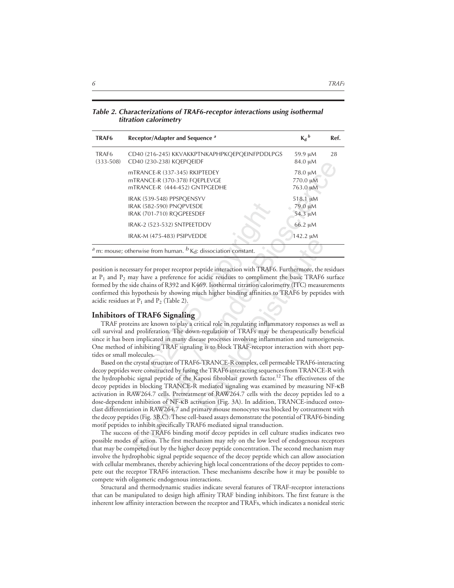**Table 2. Characterizations of TRAF6-receptor interactions using isothermal titration calorimetry**

| TRAF <sub>6</sub>                  | Receptor/Adapter and Sequence <sup>a</sup>                                                                                                                                                                                                                                                                                                                                                                                                                                                                                                                                                                                                                                                                                                                                                                                                                                                         | $K_d{}^b$                       | Ref. |
|------------------------------------|----------------------------------------------------------------------------------------------------------------------------------------------------------------------------------------------------------------------------------------------------------------------------------------------------------------------------------------------------------------------------------------------------------------------------------------------------------------------------------------------------------------------------------------------------------------------------------------------------------------------------------------------------------------------------------------------------------------------------------------------------------------------------------------------------------------------------------------------------------------------------------------------------|---------------------------------|------|
| TRAF <sub>6</sub><br>$(333 - 508)$ | CD40 (216-245) KKVAKKPTNKAPHPKQEPQEINFPDDLPGS<br>CD40 (230-238) KQEPQEIDF                                                                                                                                                                                                                                                                                                                                                                                                                                                                                                                                                                                                                                                                                                                                                                                                                          | 59.9 µM<br>84.0 µM              | 28   |
|                                    | mTRANCE-R (337-345) RKIPTEDEY<br>mTRANCE-R (370-378) FQEPLEVGE<br>mTRANCE-R (444-452) GNTPGEDHE                                                                                                                                                                                                                                                                                                                                                                                                                                                                                                                                                                                                                                                                                                                                                                                                    | 78.0 μM<br>770.0 µM<br>763.0 µM |      |
|                                    | IRAK (539-548) PPSPQENSYV<br>IRAK (582-590) PNQPVESDE<br>IRAK (701-710) RQGPEESDEF                                                                                                                                                                                                                                                                                                                                                                                                                                                                                                                                                                                                                                                                                                                                                                                                                 | 518.1 µM<br>79.0 µM<br>54.3 µM  |      |
|                                    | IRAK-2 (523-532) SNTPEETDDV                                                                                                                                                                                                                                                                                                                                                                                                                                                                                                                                                                                                                                                                                                                                                                                                                                                                        | 66.2 µM                         |      |
|                                    | IRAK-M (475-483) PSIPVEDDE                                                                                                                                                                                                                                                                                                                                                                                                                                                                                                                                                                                                                                                                                                                                                                                                                                                                         | 142.2 µM                        |      |
|                                    | $^a$ m: mouse; otherwise from human. $^b$ K <sub>d</sub> : dissociation constant.                                                                                                                                                                                                                                                                                                                                                                                                                                                                                                                                                                                                                                                                                                                                                                                                                  |                                 |      |
| tides or small molecules.          | formed by the side chains of R392 and K469. Isothermal titration calorimetry (ITC) measurements<br>confirmed this hypothesis by showing much higher binding affinities to TRAF6 by peptides with<br>acidic residues at $P_1$ and $P_2$ (Table 2).<br><b>Inhibitors of TRAF6 Signaling</b><br>TRAF proteins are known to play a critical role in regulating inflammatory responses as well as<br>cell survival and proliferation. The down-regulation of TRAFs may be therapeutically beneficial<br>since it has been implicated in many disease processes involving inflammation and tumorigenesis.<br>One method of inhibiting TRAF signaling is to block TRAF-receptor interaction with short pep-<br>Based on the crystal structure of TRAF6-TRANCE-R complex, cell permeable TRAF6-interacting<br>decoy peptides were constructed by fusing the TRAF6 interacting sequences from TRANCE-R with |                                 |      |
|                                    | the hydrophobic signal peptide of the Kaposi fibroblast growth factor. <sup>12</sup> The effectiveness of the<br>decoy peptides in blocking TRANCE-R mediated signaling was examined by measuring NF-KB<br>activation in RAW264.7 cells. Pretreatment of RAW264.7 cells with the decoy peptides led to a<br>dose-dependent inhibition of NF-KB activation (Fig. 3A). In addition, TRANCE-induced osteo-<br>clast differentiation in RAW264.7 and primary mouse monocytes was blocked by cotreatment with<br>the decoy peptides (Fig. 3B,C). These cell-based assays demonstrate the potential of TRAF6-binding<br>motif peptides to inhibit specifically TRAF6 mediated signal transduction.<br>The success of the TRAF6 binding motif decoy peptides in cell culture studies indicates two                                                                                                        |                                 |      |
|                                    | possible modes of action. The first mechanism may rely on the low level of endogenous receptors<br>that may be competed out by the higher decoy peptide concentration. The second mechanism may                                                                                                                                                                                                                                                                                                                                                                                                                                                                                                                                                                                                                                                                                                    |                                 |      |

#### **Inhibitors of TRAF6 Signaling**

The success of the TRAF6 binding motif decoy peptides in cell culture studies indicates two possible modes of action. The first mechanism may rely on the low level of endogenous receptors that may be competed out by the higher decoy peptide concentration. The second mechanism may involve the hydrophobic signal peptide sequence of the decoy peptide which can allow association with cellular membranes, thereby achieving high local concentrations of the decoy peptides to compete out the receptor TRAF6 interaction. These mechanisms describe how it may be possible to compete with oligomeric endogenous interactions.

Structural and thermodynamic studies indicate several features of TRAF-receptor interactions that can be manipulated to design high affinity TRAF binding inhibitors. The first feature is the inherent low affinity interaction between the receptor and TRAFs, which indicates a nonideal steric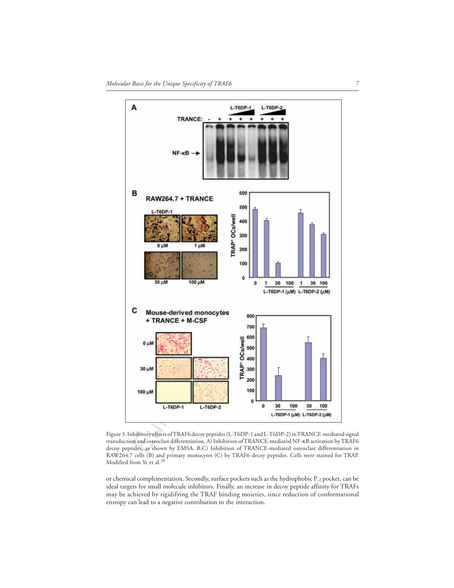

Figure 3. Inhibitory effects of TRAF6 decoy peptides (L-T6DP-1 and L-T6DP-2) in TRANCE-mediated signal transduction and osteoclast differentiation. A) Inhibition of TRANCE-mediated NF-κB activation by TRAF6 decoy peptides, as shown by EMSA. B,C) Inhibition of TRANCE-mediated osteoclast differentiation in RAW264.7 cells (B) and primary monocytes (C) by TRAF6 decoy peptides. Cells were stained for TRAP. Modified from Ye et al.<sup>28</sup>

or chemical complementation. Secondly, surface pockets such as the hydrophobic P-2 pocket, can be ideal targets for small molecule inhibitors. Finally, an increase in decoy peptide affinity for TRAFs may be achieved by rigidifying the TRAF binding moieties, since reduction of conformational entropy can lead to a negative contribution to the interaction.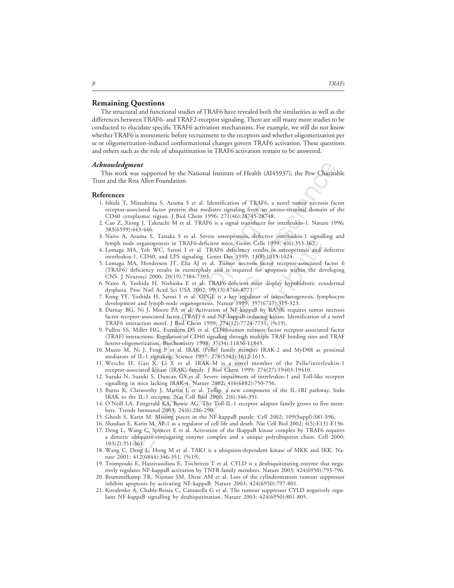### **Remaining Questions**

The structural and functional studies of TRAF6 have revealed both the similarities as well as the differences between TRAF6- and TRAF2-receptor signaling. There are still many more studies to be conducted to elucidate specific TRAF6 activation mechanisms. For example, we still do not know whether TRAF6 is monomeric before recruitment to the receptors and whether oligomerization per se or oligomerization-induced conformational changes govern TRAF6 activation. These questions and others such as the role of ubiquitination in TRAF6 activation remain to be answered.

### *Acknowledgment*

This work was supported by the National Institute of Health (AI45937), the Pew Charitable Trust and the Rita Allen Foundation.

#### **References**

- 1. Ishida T, Mizushima S, Azuma S et al. Identification of TRAF6, a novel tumor necrosis factor receptor-associated factor protein that mediates signaling from an amino-terminal domain of the CD40 cytoplasmic region. J Biol Chem 1996; 271(46):28745-28748.
- 2. Cao Z, Xiong J, Takeuchi M et al. TRAF6 is a signal transducer for interleukin-1. Nature 1996; 383(6599):443-446.
- 3. Naito A, Azuma S, Tanaka S et al. Severe osteopetrosis, defective interleukin-1 signalling and lymph node organogenesis in TRAF6-deficient mice. Genes Cells 1999; 4(6):353-362.
- 4. Lomaga MA, Yeh WC, Sarosi I et al. TRAF6 deficiency results in osteopetrosis and defective interleukin-1, CD40, and LPS signaling. Genes Dev 1999; 13(8):1015-1024.
- hima S, Azuma S et al. Identification of TRAF6,<br>ed factor protein that mediates signaling from an a<br>ic region. J Biol Chem 1996; 271(46):28745-2874<br>5. Takeuchi M et al. TRAF6 is a signal transducer fo<br>146. Takeuchi M et al deficient mice, Genes Cells 1999; 4(6):353-362.<br>
I. TRAF6 deficiency results in osteopetrosis and<br>
ng. Genes Dev 1999; 13(8):1015-1024.<br>
1 et al. Tumor necrosis factor receptor-associated<br>
phaly and is required for apoptos 5. Lomaga MA, Henderson JT, Elia AJ et al. Tumor necrosis factor receptor-associated factor 6 (TRAF6) deficiency results in exencephaly and is required for apoptosis within the developing CNS. J Neurosci 2000; 20(19):7384-7393.
- 6. Naito A, Yoshida H, Nishioka E et al. TRAF6-deficient mice display hypohidrotic ectodermal dysplasia. Proc Natl Acad Sci USA 2002; 99(13):8766-8771.
- 7. Kong YY, Yoshida H, Sarosi I et al. OPGL is a key regulator of osteoclastogenesis, lymphocyte development and lymph-node organogenesis. Nature 1999; 397(6717):315-323.
- 8. Darnay BG, Ni J, Moore PA et al. Activation of NF-kappaB by RANK requires tumor necrosis factor receptor-associated factor (TRAF) 6 and NF-kappaB-inducing kinase. Identification of a novel TRAF6 interaction motif. J Biol Chem 1999; 274(12):7724-7731, (%19).
- 9. Pullen SS, Miller HG, Everdeen DS et al. CD40-tumor necrosis factor receptor-associated factor (TRAF) interactions: Regulation of CD40 signaling through multiple TRAF binding sites and TRAF hetero-oligomerization. Biochemistry 1998; 37(34):11836-11845.
- 10. Muzio M, Ni J, Feng P et al. IRAK (Pelle) family member IRAK-2 and MyD88 as proximal mediators of IL-1 signaling. Science 1997; 278(5343):1612-1615.
- 11. Wesche H, Gao X, Li X et al. IRAK-M is a novel member of the Pelle/interleukin-1 receptor-associated kinase (IRAK) family. J Biol Chem 1999; 274(27):19403-19410.
- 12. Suzuki N, Suzuki S, Duncan GS et al. Severe impairment of interleukin-1 and Toll-like receptor signalling in mice lacking IRAK-4. Nature 2002; 416(6882):750-756.
- 13. Burns K, Clatworthy J, Martin L et al. Tollip, a new component of the IL-1RI pathway, links IRAK to the IL-1 receptor. Nat Cell Biol 2000; 2(6):346-351.
- 14. O'Neill LA, Fitzgerald KA, Bowie AG. The Toll-IL-1 receptor adaptor family grows to five members. Trends Immunol 2003; 24(6):286-290.
- 15. Ghosh S, Karin M. Missing pieces in the NF-kappaB puzzle. Cell 2002; 109(Suppl):S81-S96.
- **EPRICACTE (1997)**<br> **ENETY ANDERE SURFARE SURFARE SURFARE SURFARE SURFARE SURFARE SURFARE METHOLOGY (1997)**<br> **Mizualsima S. Azuma S et al. Identification of TRAF6, a novel tumor necrosis faceocidated factor protein that me** 16. Shaulian E, Karin M. AP-1 as a regulator of cell life and death. Nat Cell Biol 2002; 4(5):E131-E136. 17. Deng L, Wang C, Spencer E et al. Activation of the IkappaB kinase complex by TRAF6 requires a dimeric ubiquitin-conjugating enzyme complex and a unique polyubiquitin chain. Cell 2000; 103(2):351-361.
- 18. Wang C, Deng L, Hong M et al. TAK1 is a ubiquitin-dependent kinase of MKK and IKK. Nature 2001; 412(6844):346-351, (%19).
- 19. Trompouki E, Hatzivassiliou E, Tsichritzis T et al. CYLD is a deubiquitinating enzyme that negatively regulates NF-kappaB activation by TNFR family members. Nature 2003; 424(6950):793-796.
- 20. Brummelkamp TR, Nijman SM, Dirac AM et al. Loss of the cylindromatosis tumour suppressor inhibits apoptosis by activating NF-kappaB. Nature 2003; 424(6950):797-801.
- 21. Kovalenko A, Chable-Bessia C, Cantarella G et al. The tumour suppressor CYLD negatively regulates NF-kappaB signalling by deubiquitination. Nature 2003; 424(6950):801-805.